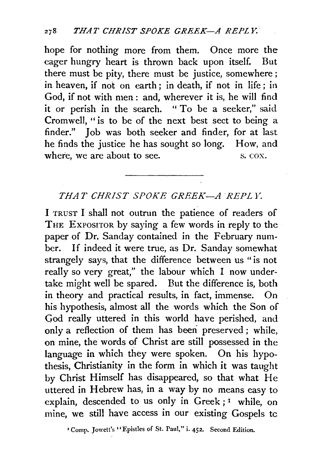hope for nothing more from them. Once more the eager hungry heart is thrown back upon itself. But there must be pity, there must be justice, somewhere ; in heaven, if not on earth ; in death, if not in life ; in God, if not with men : and, wherever it is, he will find it or perish in the search. "To be a seeker," said Cromwell, " is to be of the next best sect to being a finder." Job was both seeker and finder, for at last he finds the justice he has sought so long. How, and where, we are about to see. S. COX.

## *THAT CHRIST SPOKE GREEK-A REPLY.*

I TRUST I shall not outrun the patience of readers of THE EXPOSITOR by saying a few words in reply to the paper of Dr. Sanday contained in the February number. If indeed it were true, as Dr. Sanday somewhat strangely says, that the difference between us " is not really so very great," the labour which I now undertake might well be spared. But the difference is, both in theory and practical results, in fact, immense. On his hypothesis, almost all the words which the Son of God really uttered in this world have perished, and only a reflection of them has beeri preserved ; while, on mine, the words of Christ are still possessed in the language in which they were spoken. On his hypothesis, Christianity in the form in which it was taught by Christ Himself has disappeared, so that what He uttered in Hebrew has, in a way by no means easy to explain, descended to us only in Greek ;<sup>1</sup> while, on mine, we still have access in our existing Gospels tc

<sup>1</sup> Comp. Jowett's "Epistles of St. Paul," i. 452. Second Edition.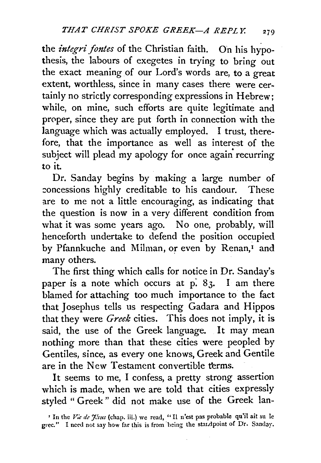the *integri fontes* of the Christian faith. On his hypothesis, the labours of exegetes in trying to bring out the exact meaning of our Lord's words are, to a great extent, worthless, since in many cases there were certainly no strictly corresponding expressions in Hebrew; while, on mine, such efforts are quite legitimate and proper, since they are put forth in connection with the language which was actually employed. I trust, therefore, that the importance as well as interest of the subject will plead my apology for once again recurring to it.

Dr. Sanday begins by making a large number of :oncessions highly creditable to his candour. These are to me not a little encouraging, as indicating that the question is now in a very different condition from what it was some years ago. No one, probably, will henceforth undertake to defend the position occupied by Pfannkuche and Milman, or even by Renan,<sup>1</sup> and many others.

The first thing which calls for notice in Dr. Sanday's paper is a note which occurs at  $p: 83$ . I am there blamed for attaching too much importance to the fact that. Josephus tells us respecting Gadara and Hippos that they were *Greek* cities. This does not imply, it is said, the use of the Greek language. It may mean nothing more than that these cities were peopled by Gentiles, since, as every one knows, Greek and Gentile are in the New Testament convertible terms.

It seems to me, I confess, a pretty strong assertion which is made, when we are told that cities expressly styled " Greek" did not make use of the Greek lan-

<sup>&</sup>lt;sup>1</sup> In the Vie de Jisus (chap. iii.) we read, "Il n'est pas probable qu'il ait su le grec." I need not say how far this is from being the standpoint of Dr. Sanday.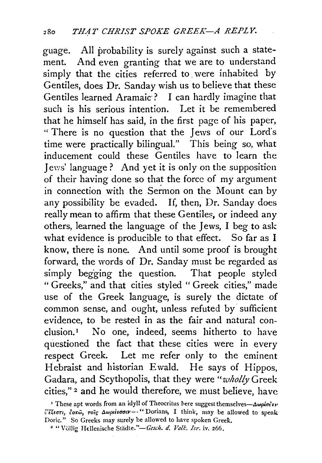guage. All probability is surely against such a statement. And even granting that we are to understand simply that the cities referred to. were inhabited by Gentiles, does Dr. Sanday wish us to believe that these Gentiles learned Aramaic·? I can hardly imagine that such is his serious intention. Let it be remembered that he himself has said, in the first page of his paper, " There is no question that the Jews of our Lord's time were practically bilingual." This being so, what inducement could these Gentiles have to learn the *1* ews' language? And yet it is only on the supposition of their having done so that the force of my argument in connection with the Sermon on the Mount can by any possibility be evaded. If, then, Dr. Sanday does really mean to affirm that these Gentiles, or indeed any others, learned the language of the Jews, I beg to ask what evidence is producible to that effect. So far as I know, there is none. And until some proof is brought forward, the words of Dr. Sanday must be regarded as simply begging the question. That people styled " Greeks," and that cities styled " Greek cities," made use of the Greek language, is surely the dictate of common sense, and ought, unless refuted by sufficient evidence, to be rested in as the fair and natural conclusion.1 No one, indeed, seems hitherto to have questioned the fact that these cities were in every respect Greek. Let me refer only to the eminent Hebraist and historian Ewald. He says of Hippos, Gadara, and Scythopolis, that they were "wholly Greek" cities," *z* and he would therefore, we must believe, have

<sup>&</sup>lt;sup>1</sup> These apt words from an idyll of Theocritus here suggest themselves— $\Delta\omega_0 i\sigma_1^2 \nu$  $\ddot{v}$ 'έξεστι, δοκώ, τοις Δωριέεσσιν -- "Dorians, I think, may be allowed to speak Doric." So Greeks may surely be allowed to have spoken Greek.

<sup>• &</sup>quot;Vollig Hdlenische Stadte."-Gesch. *d. Vol!:. Isr.* iv. 266.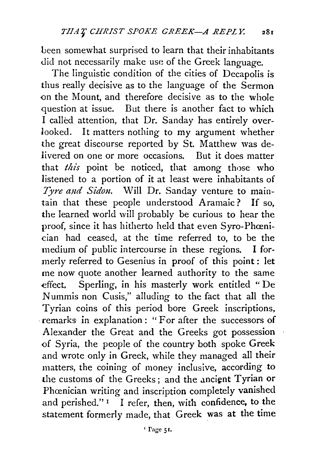been somewhat surprised to learn that their inhabitants did not necessarily make use of the Greek language.

The linguistic condition of the cities of Decapolis is thus really decisive as to the language of the Sermon on the Mount, and therefore decisive as to the whole question at issue. But there is another fact to which I called attention, that Dr. Sanday has entirely overlooked. It matters nothing to my argument whether the great discourse reported by St. Matthew was delivered on one or more occasions. But it does matter that *this* point be noticed; that among those who listened to a portion of it at least were inhabitants of *Tyre and Sidon.* Will Dr. Sanday venture to maintain that these people understood Aramaic ? If so, the learned world will probably be curious to hear the proof, since it has hitherto held that even Syro-Phœnician had ceased, at the time referred to, to be the medium of public intercourse in these regions. I formerly referred to Gesenius in proof of this point : let me now quote another learned authority to the same effect. Sperling, in his masterly work entitled " De Nummis non Cusis," alluding to the fact that all the Tyrian coins of this period bore Greek inscriptions, · remarks in explanation : " For after the successors of Alexander the Great and the Greeks got possession of Syria, the people of the country both spoke Greek and wrote only in Greek, while they managed all their matters, the coining of money inclusive, according to the customs of the Greeks; and the ancient Tyrian or Phœnician writing and inscription completely vanished and perished."<sup>1</sup> I refer, then, with confidence, to the statement formerly made, that Greek was at the time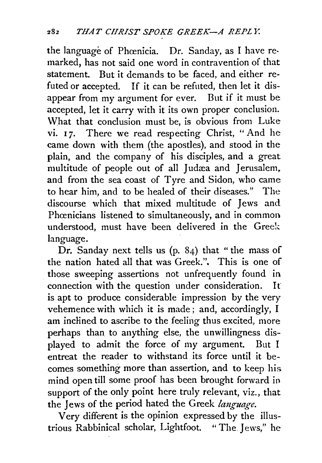the language of Phœnicia. Dr. Sanday, as I have remarked, has not said one word in contravention of that statement. But it demands to be faced, and either refuted or accepted. If it can be refuted, then let it disappear from my argument for ever. But if it must be accepted, let it carry with it its own proper conclusion. What that conclusion must be, is obvious from Luke vi. 17. There we read respecting Christ, "And he came down with them {the apostles), and stood in the plain, and the company of his disciples, and a great multitude of people out of all Judæa and Jerusalem, and from the sea coast of Tyre and Sidon, who came to hear him, and to be healed of their diseases." The discourse which that mixed multitude of Jews and Phœnicians listened to simultaneously, and in common understood, must have been delivered in the Greek language.

Dr. Sanday next tells us (p. 84) that " the mass of the nation hated all that was Greek.". This is one of those sweeping assertions not unfrequently found in connection with the question under consideration. It is apt to produce considerable impression by the very vehemence with which it is made; and, accordingly, I am inclined to ascribe to the feeling thus excited, more perhaps than to anything else, the unwillingness displayed to admit the force of my argument. But I entreat the reader to withstand its force until it becomes something more than assertion, and to keep his mind open till some proof has been brought forward io support of the only point here truly relevant, viz., that the Jews of the period hated the Greek *language.* 

Very different is the opinion expressed by the illustrious Rabbinical scholar, Lightfoot. " The. Jews," he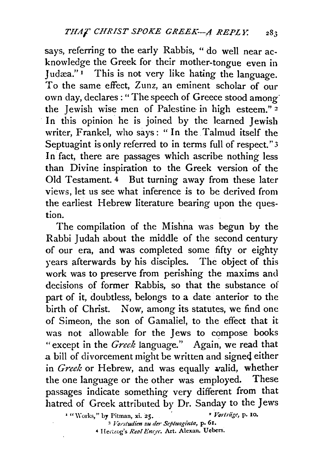says, referring to the early Rabbis, "do well near acknowledge the Greek for their mother-tongue even in Judæa." $\overline{1}$  This is not very like hating the language. To the same effect, Zunz, an eminent scholar of our own day, declares : "The speech of Greece stood among· the Jewish wise men of Palestine· in high esteem." *z*  In this opinion he is joined by the learned Jewish writer, Frankel, who says: " In the Talmud itself the Septuagint is only referred to in terms full of respect."3 In fact, there are passages which ascribe nothing less than Divine inspiration to the Greek version of the Old Testament. 4 But turning away from these later views, let us see what inference is to be derived from the earliest Hebrew literature bearing upon the question.

The compilation of the Mishna was begun by the Rabbi Judah about the middle of the second century of our era, and was completed some fifty or eighty years afterwards by his disciples. The object of this work was to preserve from perishing the maxims and decisions of former Rabbis, so that the substance of part of it, doubtless, belongs to a date anterior to the birth of Christ. Now, among its statutes, we find one of Simeon, the son of Gamaliel, to the effect that it was not allowable for the Jews to compose books "except in the *Greek* language." Again, we read that a bill of divorcement might be written and signed either in *Greek* or Hebrew, and was equally valid, whether the one language or the other was employed. These passages indicate something very different from that hatred of Greek attributed by Dr. Sanday to the Jews<br>1 "Works," by Pitman, xi. 25. *• Vorträge*, p. 10.

<sup>3</sup>*Voo'ludim zu tier Septuagitlla,* P· 61. <sup>4</sup> Hertzog's *Real Encye*. Art. Alexan. Uebers.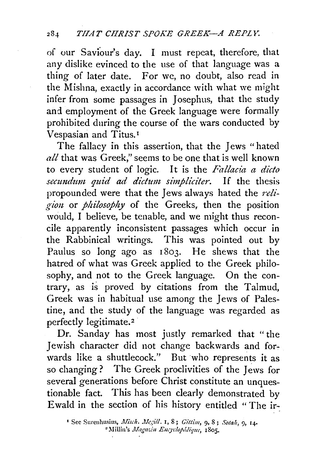of our Saviour's day. I must repeat, therefore, that any dislike evinced to the use of that language was a thing of later date. For we, no doubt, also read in the Mishna, exactly in accordance with what we might infer from some passages in Josephus, that the study and employment of the Greek language were formally prohibited during the course of the wars conducted by Vespasian and Titus. <sup>1</sup>

The fallacy in this assertion, that the Jews " hated *all* that was Greek," seems to be one that is well known to every student of logic. It is the *Fallacia a dicto secundum quid ad dictum simpliciter*. If the thesis propounded were that the Jews always hated the *reli*gion or *philosophy* of the Greeks, then the position would, I believe, be tenable, and we might thus reconcile apparently inconsistent passages which occur in the Rabbinical writings. This was pointed out by Paulus so long ago as 1803. He shews that the hatred of what was Greek applied to the Greek philosophy, and not to the Greek language. On the contrary, as is proved by citations from the Talmud, Greek was in habitual use among the Jews of Palestine, and the study of the language was regarded as perfectly legitimate.<sup>2</sup>

Dr. Sanday has most justly remarked that "the Jewish character did not change back\vards and forwards like a shuttlecock." But who represents it as so changing? The Greek proclivities of the Jews for several generations before Christ constitute an unquestionable fact. This has been clearly demonstrated by Ewald in the section of his history entitled "The ir-

<sup>&</sup>lt;sup>1</sup> See Surenhusius, Misch. Megill. 1, 8; Gittim, 9, 8; Sotah, 9, 14. <sup>2</sup> Millin's Magazin Encyclopédique, 1805.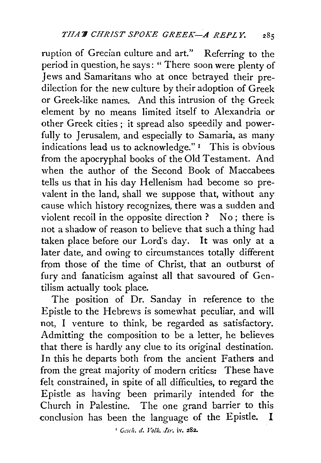ruption of Grecian culture and art." Referring to the period in question, he says: " There soon were plenty of Jews and Samaritans who at once betrayed their predilection for the new culture by their adoption of Greek or Greek-like names. And this intrusion of the Greek element by no means limited itself to Alexandria or other Greek cities ; it spread also speedily and powerfully to Jerusalem, and especially to Samaria, as many indications lead us to acknowledge." 1 This is obvious from the apocryphal books of the Old Testament. And when the author of the Second Book of Maccabees tells us that in his day Hellenism had become so prevalent in the land, shall we suppose that, without any cause which history recognizes, there was a sudden and violent recoil in the opposite direction ? No ; there is not a shadow of reason to believe that such a thing had taken place before our Lord's day. It was only at a later date, and owing to circumstances totally different from those of the time of Christ, that an outburst of fury and fanaticism against all that savoured of Gentilism actually took place.

The position of Dr. Sanday in reference to the Epistle to the Hebrews is somewhat peculiar, and will not, I venture to think, be regarded as satisfactory. Admitting the composition to be a letter, he believes that there is hardly any clue to its original destination. In this he departs both from the ancient Fathers and from the great majority of modern critics: These have felt constrained, in spite of all difficulties, to regard the Epistle as having been primarily intended for the Church in Palestine. The one grand barrier to this conclusion has been the language of the Epistle. I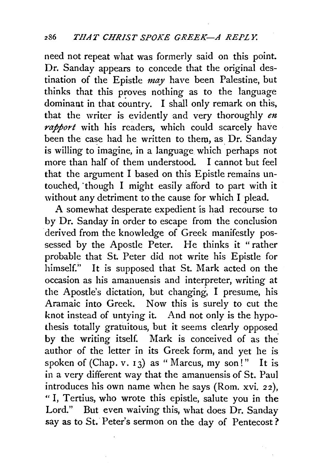need not repeat what was formerly said on this point. Dr. Sanday appears to concede that the original destination of the Epistle *may* have been Palestine, but thinks that this proves nothing as to the language dominant in that country. I shall only remark on this, that the writer is evidently and very thoroughly *en rapport* with his readers, which could scarcely have been the case had he written to them, as Dr. Sanday is willing to imagine, in a language which perhaps not more than half of them understood. I cannot but feel that the argument I based on this Epistle remains untouched, "though I might easily afford to part with it without any detriment to the cause for which I plead.

A somewhat desperate expedient is had recourse to by Dr. Sanday in order to escape from the conclusion derived from the knowledge of Greek manifestly possessed by the Apostle Peter. He thinks it " rather probable that St. Peter did not write his Epistle for himself." It is supposed that St. Mark acted on the occasion as his amanuensis and interpreter, writing at the Apostle's dictation, but changing, I presume, his Aramaic into Greek. Now this is surely to cut the knot instead of untying it. And not only is the hypothesis totally gratuitous, but it seems clearly opposed by the writing itself. Mark is conceived of as the author of the letter in its Greek form, and yet he is spoken of (Chap. v. 13) as "Marcus, my son!" It is in a very different way that the amanuensis of St. Paul introduces his own name when he says (Rom. xvi. 22), "I, Tertius, who wrote this epistle, salute you in the Lord." But even waiving this, what does Dr. Sanday say as to St. Peter's sermon on the day of Pentecost?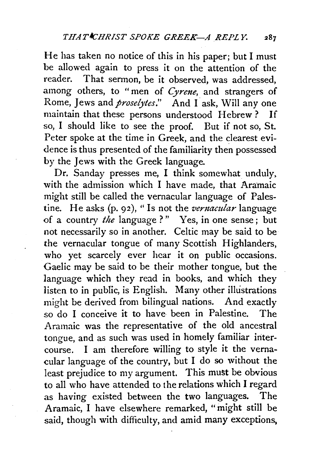He has taken no notice of this in his paper; but I must be allowed again to press it on the attention of the reader. That sermon, be it observed, was addressed, .among others, to " men of *Cyrene,* and strangers of Rome, Jews and *proselytes.*" And I ask, Will any one maintain that these persons understood Hebrew? If so, I should like to see the proof. But if not so, St. Peter spoke at the time in Greek, and the clearest evidence is thus presented of the familiarity then possessed by the Jews with the Greek language.

Dr. Sanday presses me, I think somewhat unduly. with the admission which I have made, that Aramaic might still be called the vernacular language of Palestine. He asks  $(p, 92)$ , "Is not the *vernacular* language of a country *the* language ? " Yes, in one sense ; but not necessarily so in another. Celtic may be said to be the vernacular tongue of many Scottish Highlanders, who yet scarcely ever hear it on public occasions. Gaelic may be said to be their mother tongue, but the language which they read in books, and which they listen to in public, is English. Many other illustrations might be derived from bilingual nations. And exactly so do I conceive it to have been in Palestine. The Aramaic was the representative of the old ancestral tongue, and as such was used in homely familiar intercourse. I ani therefore willing to style it the vernacular language of the country, but I do so without the least prejudice to my argument. This must be obvious to all who have attended to the relations which I regard .as having existed between the two languages. The Aramaic, I have elsewhere remarked, "might still be said, though with difficulty, and amid many exceptions,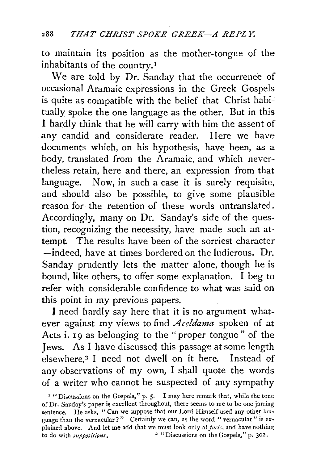to maintain its position as the mother-tongue of the inhabitants of the country. <sup>1</sup>

We are told by Dr. Sanday that the occurrence of occasional Aramaic expressions in the Greek Gospels is quite as compatible with the belief that Christ habitually spoke the one language as the other. But in this I hardly think that he will carry with him the assent of any candid and considerate reader. Here we have documents which, on his hypothesis, have been, as a body, translated from the Aramaic, and which nevertheless retain, here and there, an expression from that language. Now, in such a case it is surely requisite, and should also be possible, to give some plausible reason for the retention of these words untranslated. Accordingly, many on Dr. Sanday's side of the question, recognizing the necessity, have made such an attempt. The results have been of the sorriest character. -indeed, have at times bordered on the ludicrous. Dr. Sanday prudently lets the matter alone, though he is bound, like others, to offer some explanation. I beg to refer with considerable confidence to what was said on this point in my previous papers.

I need hardly say here that it is no argument whatever against my views to find *Aceldanza* spoken of at Acts i. 19 as belonging to the "proper tongue" of the Jews. As I have discussed this passage at some length elsewhere,<sup>2</sup> I need not dwell on it here. Instead of any observations of my own, I shall quote the words of a writer who cannot be suspected of any sympathy

<sup>&#</sup>x27; " Discussions on the Gospels," p. 5· I may here remark that, while the tone of Dr. Sanday's paper is excellent throughout, there seems to me to be one jarring sentence. He asks, "Can we suppose that our Lord Himself used any other language than the vernacular ?" Certainly we can, as the word " vernacular " is explained above. And let me add that we must look only at *facts*, and have nothing to do with *suppositions*. <sup>2</sup> "Discussions on the Gospels," p. 302. <sup>2</sup> "Discussions on the Gospels," p. 302.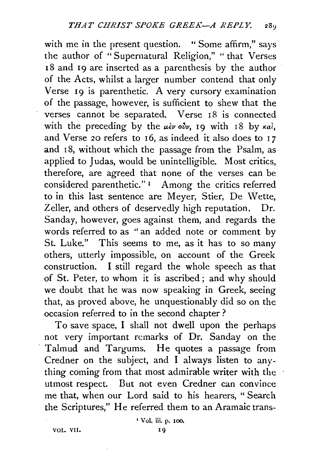with me in the present question. "Some affirm," says the author of " Supernatural Religion," " that Verses 1S and 19 are inserted as a parenthesis by the author of the Acts, whilst a larger number contend that only Verse 19 is parenthetic. A very cursory examination of the passage, however, is sufficient to shew that the verses cannot be separated. Verse 18 is connected with the preceding by the *uèν ovv*, 19 with 18 by *καὶ*, and Verse 20 refers to  $16$ , as indeed it also does to  $17$ and IS, without which the passage from the Psalm, as applied to Judas, would be unintelligible. Most critics, therefore, are agreed that none of the verses can be considered parenthetic." 1 Among the critics referred to in this last sentence are Meyer, Stier, De Wette, Zeller, and others of deservedly high reputation. Dr. Sanday, however, goes against them, and regards the words referred to as " an added note or comment by St. Luke." This seems to me, as it has to so many others, utterly impossible, on account of the Greek construction. I still regard the whole speech as that of St. Peter, to whom it is ascribed ; and why should we doubt that he was now speaking in Greek, seeing that, as proved above, he unquestionably did so on the occasion referred to in the second chapter?

To save space, I shall not dwell upon the perhaps not very important remarks of Dr. Sanday on the Talmud and Targums. He quotes a passage from Credner on the subject, and I always listen to anything coming from that most admirable writer with the utmost respect. But not even Credner can convince me that, when our Lord said to his hearers, "Search the Scriptures," He referred them to an Aramaic trans-

'Vol. iii. p. 100.

VOI- Vl!.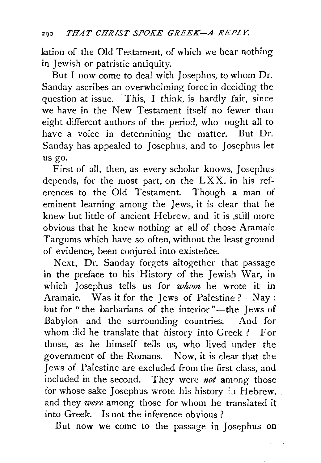lation of the Old Testament, of which we hear nothing in Jewish or patristic antiquity.

But I now come to deal with Josephus, to whom Dr. Sanday ascribes an overwhelming force in deciding the question at issue. This, I think, is hardly fair, since we have in the New Testament itself no fewer than eight different authors of the period, who ought all to have a voice in determining the matter. But Dr. Sanday has appealed to Josephus, and to Josephus let us go.

First of all, then, as every scholar knows, Josephus depends, for the most part, on the LXX. in his references to the Old Testament. Though a man of eminent learning among the Jews, it is clear that he knew but little of ancient Hebrew, and it is still more obvious that he knew nothing at all of those Aramaic Targums which have so often, without the least ground of evidence, been conjured into existence.

Next, Dr. Sanday forgets altogether that passage in the preface to his History of the Jewish War, in which Josephus tells us for *whom* he wrote it in Aramaic. Was it for the Jews of Palestine ? Nay : but for "the barbarians of the interior"-the Jews of Babylon and the surrounding countries. And for whom did he translate that history into Greek ? For those, as he himself tells us, who lived under the government of the Romans. Now, it is clear that the Jews of Palestine are excluded from the first class, and included in the second. They were *not* among those tor whose sake Josephus wrote his history :a Hebrew, and they *were* among those for whom he translated it into Greek. Is not the inference obvious ?

But now we come to the passage in Josephus on·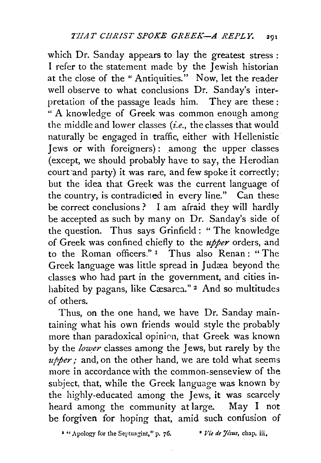which Dr. Sanday appears to lay the greatest stress: I refer to the statement made by the Jewish historian at the close of the "Antiquities." Now, let the reader well observe to what conclusions Dr. Sanday's interpretation of the passage leads him. They are these : " A knowledge of Greek was common enough among the middle and lower classes *(i.e.,* the classes that would naturally be engaged in traffic, either with Hellenistic Jews or with foreigners): among the upper classes (except, we should probably have to say, the Herodian court and party) it was rare, and few spoke it correctly; but the idea that Greek was the current language of the country, is contradicted in every line." Can these be correct conclusions ? I am afraid they will hardly be accepted as such by many on Dr. Sanday's side of the question. Thus says Grinfield : " The knowledge of Greek was confined chiefly to the *upper* orders, and to the Roman officers."<sup>1</sup> Thus also Renan: "The Greek language was little spread in Judæa beyond the classes who had part in the government, and cities inhabited by pagans, like Cæsarca." <sup>2</sup> And so multitudes of others.

Thus, on the one hand, we have Dr. Sanday maintaining what his own friends would style the probably more than paradoxical opinion, that Greek was known by the *lower* classes among the Jews, but rarely by the *upper;* and, on the other hand, we are told what seems more in accordance with the common-senseview of the subject, that, while the Greek language was known by the highly-educated among the Jews, it was scarcely heard among the community at large. May I not be forgiven for hoping that, amid such confusion of

<sup>2</sup> "Apology for the Septuagint," p. 76. <sup>•</sup> *Vie de Jésus*, chap. iii.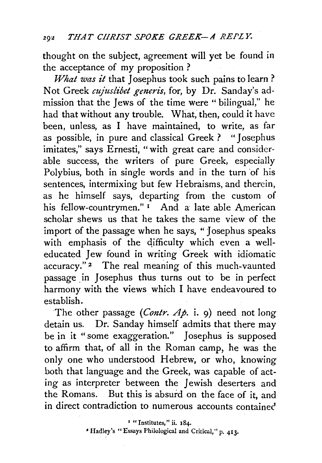thought on the subject, agreement will yet be found in the acceptance of my proposition ?

*What was it* that Josephus took such pains to learn? Not Greek *cujuslibet generis*, for, by Dr. Sanday's admission that the Jews of the time were " bilingual," he had that without any trouble. What, then, could it have been, unless, as I have maintained, to write, as far as possible, in pure and classical Greek? "Josephus imitates," says Ernesti, "with great care and considerable success, the writers of pure Greek, especially Polybius, both in single words and in the turn 'of his sentences, intermixing but few Hebraisms, and therein, as he himself says, departing from the custom of his fellow-countrymen."<sup>1</sup> And a late able American scholar shews us that he takes the same view of the import of the passage when he says, "Josephus speaks with emphasis of the difficulty which even a welleducated Jew found in writing Greek . with idiomatic accuracy."<sup>2</sup> The real meaning of this much-vaunted passage in Josephus thus turns out to be in perfect harmony with the views which I have endeavoured to establish.

The other passage *(Contr. Ap.* i. 9) need not long detain us. Dr. Sanday himself admits that there may be in it "some exaggeration." Josephus is supposed to affirm that, of all in the Roman camp, he was the only one who understood Hebrew, or who, knowing both that language and the Greek, was capable of acting as interpreter between the Jewish deserters and the Romans. But this is absurd on the face of it, and in direct contradiction to numerous accounts containec'

• Hadley's "Essays Philological and Critical," p. 413.

<sup>&</sup>lt;sup>1</sup> "Institutes," ii. 184.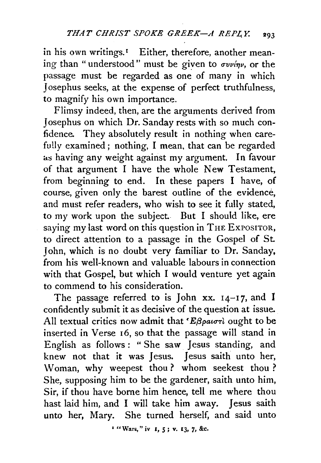in his own writings.<sup>1</sup> Either, therefore, another meaning than "understood" must be given to  $\sigma v \nu \gamma \nu$ , or the passage must be regarded as one of many in which Josephus seeks, at the expense of perfect truthfulness, to magnify his own importance.

Flimsy indeed, then, are the arguments derived from Josephus on which Dr. Sanday rests with so much confidence. They absolutely result in nothing when carefu!Iy examined; nothing, I mean, that can be regarded as having any weight against my argument. In favour of that argument I have the whole New Testament, from beginning to end. In these papers I have, of course, given only the barest outline of the evidence, and must refer readers, who wish to see it fully stated, to my work upon the subject. But I should like, ere saying my last word on this question in THE EXPOSITOR, to direct attention to a passage in the Gospel of St. John, which is no doubt very familiar to Dr. Sanday, from his well-known and valuable labours in connection with that Gospel, but which I would venture yet again to commend to his consideration.

The passage referred to is John xx. 14-17, and I confidently submit it as decisive of the question at issue. All textual critics now admit that ' $E\beta\rho a\sigma r\delta$  ought to be inserted in Verse 16, so that the passage will stand in English as follows: "She saw Jesus standing, and knew not that it was Jesus. Jesus saith unto her, Woman, why weepest thou ? whom seekest thou ? She, supposing him to be the gardener, saith unto him, Sir, if thou have borne him hence, tell me where thou hast laid him, and I will take him away. Jesus saith unto her, Mary. She turned herself, and said unto

*•* "Wars," iv 1, *5* ; v. 13, 7, &c.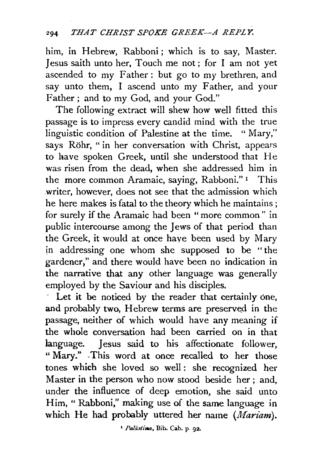him, in Hebrew, Rabboni; which is to say, Master. Jesus saith unto her, Touch me not ; for I am not yet ascended to my Father: but go to my brethren, and say unto them, I ascend unto my Father, and your Father; and to my God, and your God."

The following extract will shew how well fitted this passage is to impress every candid mind with the true linguistic condition of Palestine at the time. " Mary," says Rohr, "in her conversation with Christ, appears to have spoken Greek, until she understood that He was risen from the dead, when she addressed him in the more common Aramaic, saying, Rabboni." 1 This writer, however, does not see that the admission which he here makes is fatal to the theory which he maintains ; for surely if the Aramaic had been "more common" in public intercourse among the Jews of that period than the Greek, it would at once have been used by Mary in addressing one whom she supposed to be " the gardener," and there would have been no indication in the narrative that any other language was generally employed by the Saviour and his disciples.

, Let it be noticed by the reader that certainly one, and probably two, Hebrew terms are preserved in the passage, neither of which would have any meaning if the whole conversation had been carried on in that language. Jesus said to his affectionate follower, "Mary." .This word at once recalled to her those tones which she loved so well: she recognized her Master in the person who now stood beside her ; and, under the influence of deep emotion, she said unto Him, "Rabboni," making use of the same language in which He had probably uttered her name *(Mariam)*.

<sup>1</sup> Palästina, Bib. Cab. p. 92.